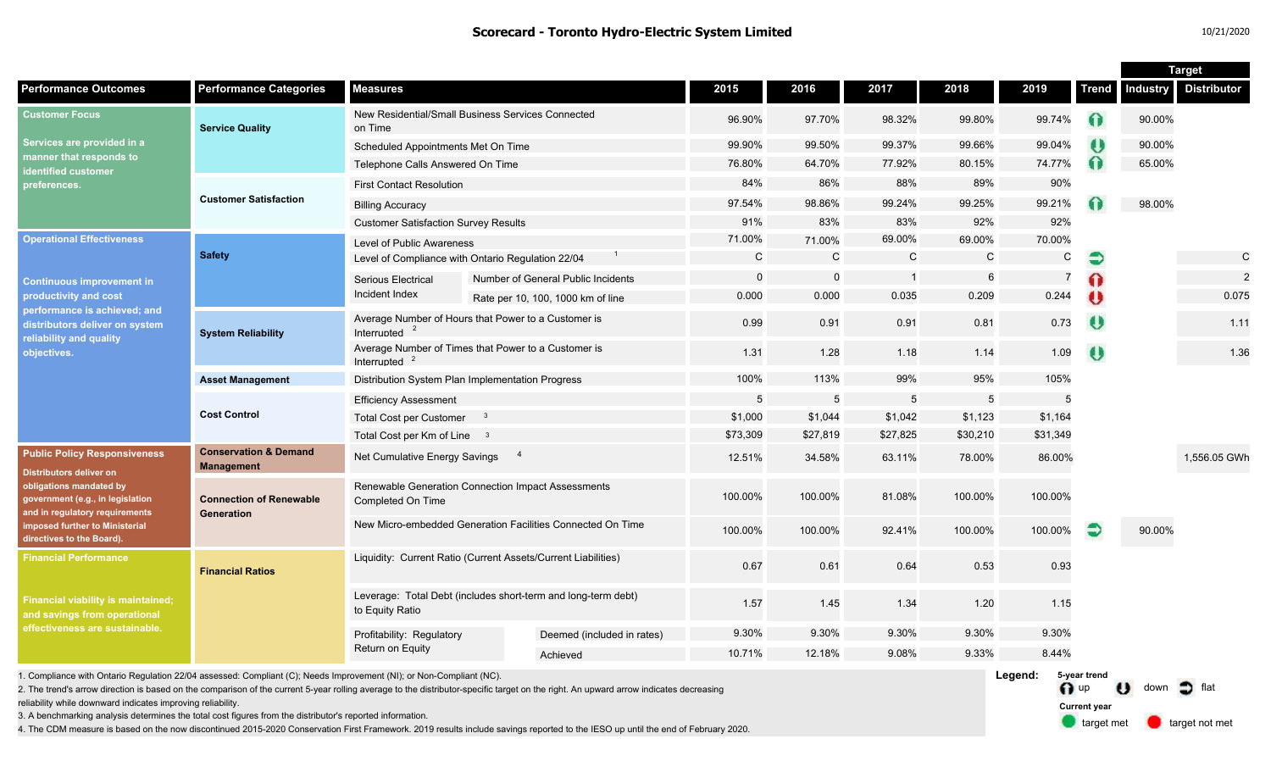| <b>Distributor</b><br><b>Performance Outcomes</b><br><b>Performance Categories</b><br><b>Measures</b><br>2016<br>2017<br>2018<br>2019<br><b>Industry</b><br>2015<br><b>Trend</b><br>New Residential/Small Business Services Connected<br>97.70%<br>98.32%<br>99.80%<br>99.74%<br>90.00%<br>96.90%<br>60<br><b>Service Quality</b><br>on Time<br>99.37%<br>99.66%<br>$\bullet$<br>99.90%<br>99.50%<br>99.04%<br>90.00%<br>Scheduled Appointments Met On Time<br>manner that responds to<br>Ω<br>74.77%<br>76.80%<br>64.70%<br>77.92%<br>80.15%<br>65.00%<br>Telephone Calls Answered On Time<br>identified customer<br>84%<br>86%<br>88%<br>89%<br>90%<br><b>First Contact Resolution</b><br>preferences.<br><b>Customer Satisfaction</b><br>99.24%<br>99.25%<br>99.21%<br>98.00%<br>97.54%<br>98.86%<br><b>Billing Accuracy</b><br>91%<br>83%<br>83%<br>92%<br>92%<br><b>Customer Satisfaction Survey Results</b><br>71.00%<br>69.00%<br>69.00%<br>70.00%<br>71.00%<br>Level of Public Awareness<br><b>Safety</b><br>C<br>$\mathsf{C}$<br>$\mathsf C$<br>$\mathsf{C}$<br>$\mathsf{C}$<br>$\mathsf{C}$<br>€<br>Level of Compliance with Ontario Regulation 22/04<br>$\overline{0}$<br>2<br>6<br>$\Omega$<br>Ω<br>-1<br>Number of General Public Incidents<br>Serious Electrical<br><b>Continuous improvement in</b><br>Incident Index<br>0.244<br>$\bullet$<br>0.075<br>0.000<br>0.000<br>0.035<br>0.209<br>Rate per 10, 100, 1000 km of line<br>performance is achieved; and<br>Average Number of Hours that Power to a Customer is<br>O<br>0.91<br>0.73<br>0.91<br>0.81<br>1.11<br>0.99<br>Interrupted<br><b>System Reliability</b><br>Average Number of Times that Power to a Customer is<br>1.31<br>1.28<br>1.09<br>O<br>1.36<br>1.18<br>1.14<br>Interrupted<br>95%<br>100%<br>113%<br>99%<br>105%<br><b>Asset Management</b><br>Distribution System Plan Implementation Progress<br>5<br>5<br>5<br>5<br>5<br><b>Efficiency Assessment</b><br><b>Cost Control</b><br>\$1,000<br>\$1,044<br>\$1,042<br>\$1,123<br>\$1,164<br><b>Total Cost per Customer</b><br>$_{3}$<br>\$27,819<br>\$31,349<br>\$73,309<br>\$27,825<br>\$30,210<br>Total Cost per Km of Line 3<br><b>Conservation &amp; Demand</b><br><b>Public Policy Responsiveness</b><br>Net Cumulative Energy Savings<br>12.51%<br>34.58%<br>63.11%<br>78.00%<br>86.00%<br>1.556.05 GWh<br><b>Management</b><br><b>Distributors deliver on</b><br>obligations mandated by<br>Renewable Generation Connection Impact Assessments<br>100.00%<br>100.00%<br>81.08%<br>100.00%<br>100.00%<br>government (e.g., in legislation<br><b>Connection of Renewable</b><br>Completed On Time<br>and in regulatory requirements<br>Generation<br>New Micro-embedded Generation Facilities Connected On Time<br><b>imposed further to Ministerial</b><br>€<br>100.00%<br>100.00%<br>100.00%<br>92.41%<br>100.00%<br>90.00%<br>directives to the Board).<br>Liquidity: Current Ratio (Current Assets/Current Liabilities)<br><b>Financial Performance</b><br>0.53<br>0.67<br>0.61<br>0.64<br>0.93<br><b>Financial Ratios</b><br>Leverage: Total Debt (includes short-term and long-term debt)<br>1.15<br>1.57<br>1.45<br>1.34<br>1.20<br>to Equity Ratio<br>and savings from operational<br>effectiveness are sustainable.<br>9.30%<br>9.30%<br>9.30%<br>9.30%<br>9.30%<br>Profitability: Regulatory<br>Deemed (included in rates)<br>Return on Equity<br>9.08%<br>9.33%<br>8.44%<br>10.71%<br>12.18%<br>Achieved |                                                                                                                                       |  |  |  |  |  |  |  |  | <b>Target</b> |  |  |
|-------------------------------------------------------------------------------------------------------------------------------------------------------------------------------------------------------------------------------------------------------------------------------------------------------------------------------------------------------------------------------------------------------------------------------------------------------------------------------------------------------------------------------------------------------------------------------------------------------------------------------------------------------------------------------------------------------------------------------------------------------------------------------------------------------------------------------------------------------------------------------------------------------------------------------------------------------------------------------------------------------------------------------------------------------------------------------------------------------------------------------------------------------------------------------------------------------------------------------------------------------------------------------------------------------------------------------------------------------------------------------------------------------------------------------------------------------------------------------------------------------------------------------------------------------------------------------------------------------------------------------------------------------------------------------------------------------------------------------------------------------------------------------------------------------------------------------------------------------------------------------------------------------------------------------------------------------------------------------------------------------------------------------------------------------------------------------------------------------------------------------------------------------------------------------------------------------------------------------------------------------------------------------------------------------------------------------------------------------------------------------------------------------------------------------------------------------------------------------------------------------------------------------------------------------------------------------------------------------------------------------------------------------------------------------------------------------------------------------------------------------------------------------------------------------------------------------------------------------------------------------------------------------------------------------------------------------------------------------------------------------------------------------------------------------------------------------------------------------------------------------------------------------------------------------------------------------------------------------------------------------------------------------------------------------------------------------------------------------------------------------------------------------------------------------------------------------------|---------------------------------------------------------------------------------------------------------------------------------------|--|--|--|--|--|--|--|--|---------------|--|--|
|                                                                                                                                                                                                                                                                                                                                                                                                                                                                                                                                                                                                                                                                                                                                                                                                                                                                                                                                                                                                                                                                                                                                                                                                                                                                                                                                                                                                                                                                                                                                                                                                                                                                                                                                                                                                                                                                                                                                                                                                                                                                                                                                                                                                                                                                                                                                                                                                                                                                                                                                                                                                                                                                                                                                                                                                                                                                                                                                                                                                                                                                                                                                                                                                                                                                                                                                                                                                                                                             |                                                                                                                                       |  |  |  |  |  |  |  |  |               |  |  |
|                                                                                                                                                                                                                                                                                                                                                                                                                                                                                                                                                                                                                                                                                                                                                                                                                                                                                                                                                                                                                                                                                                                                                                                                                                                                                                                                                                                                                                                                                                                                                                                                                                                                                                                                                                                                                                                                                                                                                                                                                                                                                                                                                                                                                                                                                                                                                                                                                                                                                                                                                                                                                                                                                                                                                                                                                                                                                                                                                                                                                                                                                                                                                                                                                                                                                                                                                                                                                                                             | <b>Customer Focus</b><br>Services are provided in a                                                                                   |  |  |  |  |  |  |  |  |               |  |  |
|                                                                                                                                                                                                                                                                                                                                                                                                                                                                                                                                                                                                                                                                                                                                                                                                                                                                                                                                                                                                                                                                                                                                                                                                                                                                                                                                                                                                                                                                                                                                                                                                                                                                                                                                                                                                                                                                                                                                                                                                                                                                                                                                                                                                                                                                                                                                                                                                                                                                                                                                                                                                                                                                                                                                                                                                                                                                                                                                                                                                                                                                                                                                                                                                                                                                                                                                                                                                                                                             |                                                                                                                                       |  |  |  |  |  |  |  |  |               |  |  |
|                                                                                                                                                                                                                                                                                                                                                                                                                                                                                                                                                                                                                                                                                                                                                                                                                                                                                                                                                                                                                                                                                                                                                                                                                                                                                                                                                                                                                                                                                                                                                                                                                                                                                                                                                                                                                                                                                                                                                                                                                                                                                                                                                                                                                                                                                                                                                                                                                                                                                                                                                                                                                                                                                                                                                                                                                                                                                                                                                                                                                                                                                                                                                                                                                                                                                                                                                                                                                                                             |                                                                                                                                       |  |  |  |  |  |  |  |  |               |  |  |
|                                                                                                                                                                                                                                                                                                                                                                                                                                                                                                                                                                                                                                                                                                                                                                                                                                                                                                                                                                                                                                                                                                                                                                                                                                                                                                                                                                                                                                                                                                                                                                                                                                                                                                                                                                                                                                                                                                                                                                                                                                                                                                                                                                                                                                                                                                                                                                                                                                                                                                                                                                                                                                                                                                                                                                                                                                                                                                                                                                                                                                                                                                                                                                                                                                                                                                                                                                                                                                                             |                                                                                                                                       |  |  |  |  |  |  |  |  |               |  |  |
|                                                                                                                                                                                                                                                                                                                                                                                                                                                                                                                                                                                                                                                                                                                                                                                                                                                                                                                                                                                                                                                                                                                                                                                                                                                                                                                                                                                                                                                                                                                                                                                                                                                                                                                                                                                                                                                                                                                                                                                                                                                                                                                                                                                                                                                                                                                                                                                                                                                                                                                                                                                                                                                                                                                                                                                                                                                                                                                                                                                                                                                                                                                                                                                                                                                                                                                                                                                                                                                             |                                                                                                                                       |  |  |  |  |  |  |  |  |               |  |  |
|                                                                                                                                                                                                                                                                                                                                                                                                                                                                                                                                                                                                                                                                                                                                                                                                                                                                                                                                                                                                                                                                                                                                                                                                                                                                                                                                                                                                                                                                                                                                                                                                                                                                                                                                                                                                                                                                                                                                                                                                                                                                                                                                                                                                                                                                                                                                                                                                                                                                                                                                                                                                                                                                                                                                                                                                                                                                                                                                                                                                                                                                                                                                                                                                                                                                                                                                                                                                                                                             |                                                                                                                                       |  |  |  |  |  |  |  |  |               |  |  |
|                                                                                                                                                                                                                                                                                                                                                                                                                                                                                                                                                                                                                                                                                                                                                                                                                                                                                                                                                                                                                                                                                                                                                                                                                                                                                                                                                                                                                                                                                                                                                                                                                                                                                                                                                                                                                                                                                                                                                                                                                                                                                                                                                                                                                                                                                                                                                                                                                                                                                                                                                                                                                                                                                                                                                                                                                                                                                                                                                                                                                                                                                                                                                                                                                                                                                                                                                                                                                                                             | <b>Operational Effectiveness</b><br>productivity and cost<br>distributors deliver on system<br>reliability and quality<br>objectives. |  |  |  |  |  |  |  |  |               |  |  |
|                                                                                                                                                                                                                                                                                                                                                                                                                                                                                                                                                                                                                                                                                                                                                                                                                                                                                                                                                                                                                                                                                                                                                                                                                                                                                                                                                                                                                                                                                                                                                                                                                                                                                                                                                                                                                                                                                                                                                                                                                                                                                                                                                                                                                                                                                                                                                                                                                                                                                                                                                                                                                                                                                                                                                                                                                                                                                                                                                                                                                                                                                                                                                                                                                                                                                                                                                                                                                                                             |                                                                                                                                       |  |  |  |  |  |  |  |  |               |  |  |
|                                                                                                                                                                                                                                                                                                                                                                                                                                                                                                                                                                                                                                                                                                                                                                                                                                                                                                                                                                                                                                                                                                                                                                                                                                                                                                                                                                                                                                                                                                                                                                                                                                                                                                                                                                                                                                                                                                                                                                                                                                                                                                                                                                                                                                                                                                                                                                                                                                                                                                                                                                                                                                                                                                                                                                                                                                                                                                                                                                                                                                                                                                                                                                                                                                                                                                                                                                                                                                                             |                                                                                                                                       |  |  |  |  |  |  |  |  |               |  |  |
|                                                                                                                                                                                                                                                                                                                                                                                                                                                                                                                                                                                                                                                                                                                                                                                                                                                                                                                                                                                                                                                                                                                                                                                                                                                                                                                                                                                                                                                                                                                                                                                                                                                                                                                                                                                                                                                                                                                                                                                                                                                                                                                                                                                                                                                                                                                                                                                                                                                                                                                                                                                                                                                                                                                                                                                                                                                                                                                                                                                                                                                                                                                                                                                                                                                                                                                                                                                                                                                             |                                                                                                                                       |  |  |  |  |  |  |  |  |               |  |  |
|                                                                                                                                                                                                                                                                                                                                                                                                                                                                                                                                                                                                                                                                                                                                                                                                                                                                                                                                                                                                                                                                                                                                                                                                                                                                                                                                                                                                                                                                                                                                                                                                                                                                                                                                                                                                                                                                                                                                                                                                                                                                                                                                                                                                                                                                                                                                                                                                                                                                                                                                                                                                                                                                                                                                                                                                                                                                                                                                                                                                                                                                                                                                                                                                                                                                                                                                                                                                                                                             |                                                                                                                                       |  |  |  |  |  |  |  |  |               |  |  |
|                                                                                                                                                                                                                                                                                                                                                                                                                                                                                                                                                                                                                                                                                                                                                                                                                                                                                                                                                                                                                                                                                                                                                                                                                                                                                                                                                                                                                                                                                                                                                                                                                                                                                                                                                                                                                                                                                                                                                                                                                                                                                                                                                                                                                                                                                                                                                                                                                                                                                                                                                                                                                                                                                                                                                                                                                                                                                                                                                                                                                                                                                                                                                                                                                                                                                                                                                                                                                                                             |                                                                                                                                       |  |  |  |  |  |  |  |  |               |  |  |
|                                                                                                                                                                                                                                                                                                                                                                                                                                                                                                                                                                                                                                                                                                                                                                                                                                                                                                                                                                                                                                                                                                                                                                                                                                                                                                                                                                                                                                                                                                                                                                                                                                                                                                                                                                                                                                                                                                                                                                                                                                                                                                                                                                                                                                                                                                                                                                                                                                                                                                                                                                                                                                                                                                                                                                                                                                                                                                                                                                                                                                                                                                                                                                                                                                                                                                                                                                                                                                                             |                                                                                                                                       |  |  |  |  |  |  |  |  |               |  |  |
|                                                                                                                                                                                                                                                                                                                                                                                                                                                                                                                                                                                                                                                                                                                                                                                                                                                                                                                                                                                                                                                                                                                                                                                                                                                                                                                                                                                                                                                                                                                                                                                                                                                                                                                                                                                                                                                                                                                                                                                                                                                                                                                                                                                                                                                                                                                                                                                                                                                                                                                                                                                                                                                                                                                                                                                                                                                                                                                                                                                                                                                                                                                                                                                                                                                                                                                                                                                                                                                             |                                                                                                                                       |  |  |  |  |  |  |  |  |               |  |  |
|                                                                                                                                                                                                                                                                                                                                                                                                                                                                                                                                                                                                                                                                                                                                                                                                                                                                                                                                                                                                                                                                                                                                                                                                                                                                                                                                                                                                                                                                                                                                                                                                                                                                                                                                                                                                                                                                                                                                                                                                                                                                                                                                                                                                                                                                                                                                                                                                                                                                                                                                                                                                                                                                                                                                                                                                                                                                                                                                                                                                                                                                                                                                                                                                                                                                                                                                                                                                                                                             |                                                                                                                                       |  |  |  |  |  |  |  |  |               |  |  |
|                                                                                                                                                                                                                                                                                                                                                                                                                                                                                                                                                                                                                                                                                                                                                                                                                                                                                                                                                                                                                                                                                                                                                                                                                                                                                                                                                                                                                                                                                                                                                                                                                                                                                                                                                                                                                                                                                                                                                                                                                                                                                                                                                                                                                                                                                                                                                                                                                                                                                                                                                                                                                                                                                                                                                                                                                                                                                                                                                                                                                                                                                                                                                                                                                                                                                                                                                                                                                                                             |                                                                                                                                       |  |  |  |  |  |  |  |  |               |  |  |
|                                                                                                                                                                                                                                                                                                                                                                                                                                                                                                                                                                                                                                                                                                                                                                                                                                                                                                                                                                                                                                                                                                                                                                                                                                                                                                                                                                                                                                                                                                                                                                                                                                                                                                                                                                                                                                                                                                                                                                                                                                                                                                                                                                                                                                                                                                                                                                                                                                                                                                                                                                                                                                                                                                                                                                                                                                                                                                                                                                                                                                                                                                                                                                                                                                                                                                                                                                                                                                                             |                                                                                                                                       |  |  |  |  |  |  |  |  |               |  |  |
|                                                                                                                                                                                                                                                                                                                                                                                                                                                                                                                                                                                                                                                                                                                                                                                                                                                                                                                                                                                                                                                                                                                                                                                                                                                                                                                                                                                                                                                                                                                                                                                                                                                                                                                                                                                                                                                                                                                                                                                                                                                                                                                                                                                                                                                                                                                                                                                                                                                                                                                                                                                                                                                                                                                                                                                                                                                                                                                                                                                                                                                                                                                                                                                                                                                                                                                                                                                                                                                             |                                                                                                                                       |  |  |  |  |  |  |  |  |               |  |  |
|                                                                                                                                                                                                                                                                                                                                                                                                                                                                                                                                                                                                                                                                                                                                                                                                                                                                                                                                                                                                                                                                                                                                                                                                                                                                                                                                                                                                                                                                                                                                                                                                                                                                                                                                                                                                                                                                                                                                                                                                                                                                                                                                                                                                                                                                                                                                                                                                                                                                                                                                                                                                                                                                                                                                                                                                                                                                                                                                                                                                                                                                                                                                                                                                                                                                                                                                                                                                                                                             |                                                                                                                                       |  |  |  |  |  |  |  |  |               |  |  |
|                                                                                                                                                                                                                                                                                                                                                                                                                                                                                                                                                                                                                                                                                                                                                                                                                                                                                                                                                                                                                                                                                                                                                                                                                                                                                                                                                                                                                                                                                                                                                                                                                                                                                                                                                                                                                                                                                                                                                                                                                                                                                                                                                                                                                                                                                                                                                                                                                                                                                                                                                                                                                                                                                                                                                                                                                                                                                                                                                                                                                                                                                                                                                                                                                                                                                                                                                                                                                                                             |                                                                                                                                       |  |  |  |  |  |  |  |  |               |  |  |
|                                                                                                                                                                                                                                                                                                                                                                                                                                                                                                                                                                                                                                                                                                                                                                                                                                                                                                                                                                                                                                                                                                                                                                                                                                                                                                                                                                                                                                                                                                                                                                                                                                                                                                                                                                                                                                                                                                                                                                                                                                                                                                                                                                                                                                                                                                                                                                                                                                                                                                                                                                                                                                                                                                                                                                                                                                                                                                                                                                                                                                                                                                                                                                                                                                                                                                                                                                                                                                                             | <b>Financial viability is maintained;</b>                                                                                             |  |  |  |  |  |  |  |  |               |  |  |
|                                                                                                                                                                                                                                                                                                                                                                                                                                                                                                                                                                                                                                                                                                                                                                                                                                                                                                                                                                                                                                                                                                                                                                                                                                                                                                                                                                                                                                                                                                                                                                                                                                                                                                                                                                                                                                                                                                                                                                                                                                                                                                                                                                                                                                                                                                                                                                                                                                                                                                                                                                                                                                                                                                                                                                                                                                                                                                                                                                                                                                                                                                                                                                                                                                                                                                                                                                                                                                                             |                                                                                                                                       |  |  |  |  |  |  |  |  |               |  |  |
|                                                                                                                                                                                                                                                                                                                                                                                                                                                                                                                                                                                                                                                                                                                                                                                                                                                                                                                                                                                                                                                                                                                                                                                                                                                                                                                                                                                                                                                                                                                                                                                                                                                                                                                                                                                                                                                                                                                                                                                                                                                                                                                                                                                                                                                                                                                                                                                                                                                                                                                                                                                                                                                                                                                                                                                                                                                                                                                                                                                                                                                                                                                                                                                                                                                                                                                                                                                                                                                             |                                                                                                                                       |  |  |  |  |  |  |  |  |               |  |  |

1. Compliance with Ontario Regulation 22/04 assessed: Compliant (C); Needs Improvement (NI); or Non-Compliant (NC).

2. The trend's arrow direction is based on the comparison of the current 5-year rolling average to the distributor-specific target on the right. An upward arrow indicates decreasing

reliability while downward indicates improving reliability.

3. A benchmarking analysis determines the total cost figures from the distributor's reported information.

4. The CDM measure is based on the now discontinued 2015-2020 Conservation First Framework. 2019 results include savings reported to the IESO up until the end of February 2020.

**Legend:** n up U down of flat **5-year trend**

**Current year**

target met **target not met**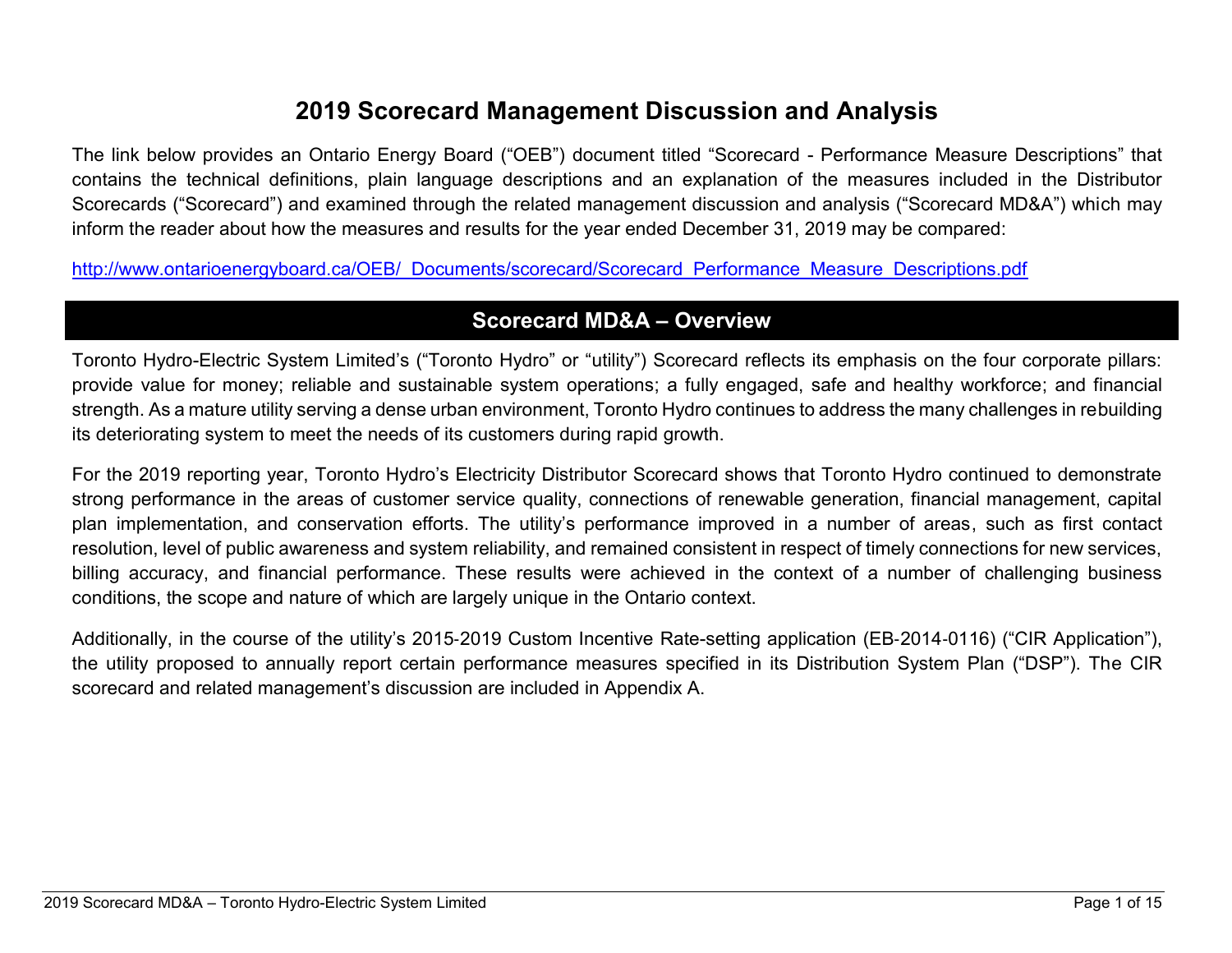# **2019 Scorecard Management Discussion and Analysis**

The link below provides an Ontario Energy Board ("OEB") document titled "Scorecard - Performance Measure Descriptions" that contains the technical definitions, plain language descriptions and an explanation of the measures included in the Distributor Scorecards ("Scorecard") and examined through the related management discussion and analysis ("Scorecard MD&A") which may inform the reader about how the measures and results for the year ended December 31, 2019 may be compared:

[http://www.ontarioenergyboard.ca/OEB/\\_Documents/scorecard/Scorecard\\_Performance\\_Measure\\_Descriptions.pdf](http://www.ontarioenergyboard.ca/OEB/_Documents/scorecard/Scorecard_Performance_Measure_Descriptions.pdf)

# **Scorecard MD&A – Overview**

Toronto Hydro-Electric System Limited's ("Toronto Hydro" or "utility") Scorecard reflects its emphasis on the four corporate pillars: provide value for money; reliable and sustainable system operations; a fully engaged, safe and healthy workforce; and financial strength. As a mature utility serving a dense urban environment, Toronto Hydro continues to address the many challenges in rebuilding its deteriorating system to meet the needs of its customers during rapid growth.

For the 2019 reporting year, Toronto Hydro's Electricity Distributor Scorecard shows that Toronto Hydro continued to demonstrate strong performance in the areas of customer service quality, connections of renewable generation, financial management, capital plan implementation, and conservation efforts. The utility's performance improved in a number of areas, such as first contact resolution, level of public awareness and system reliability, and remained consistent in respect of timely connections for new services, billing accuracy, and financial performance. These results were achieved in the context of a number of challenging business conditions, the scope and nature of which are largely unique in the Ontario context.

Additionally, in the course of the utility's 2015‐2019 Custom Incentive Rate-setting application (EB‐2014‐0116) ("CIR Application"), the utility proposed to annually report certain performance measures specified in its Distribution System Plan ("DSP"). The CIR scorecard and related management's discussion are included in Appendix A.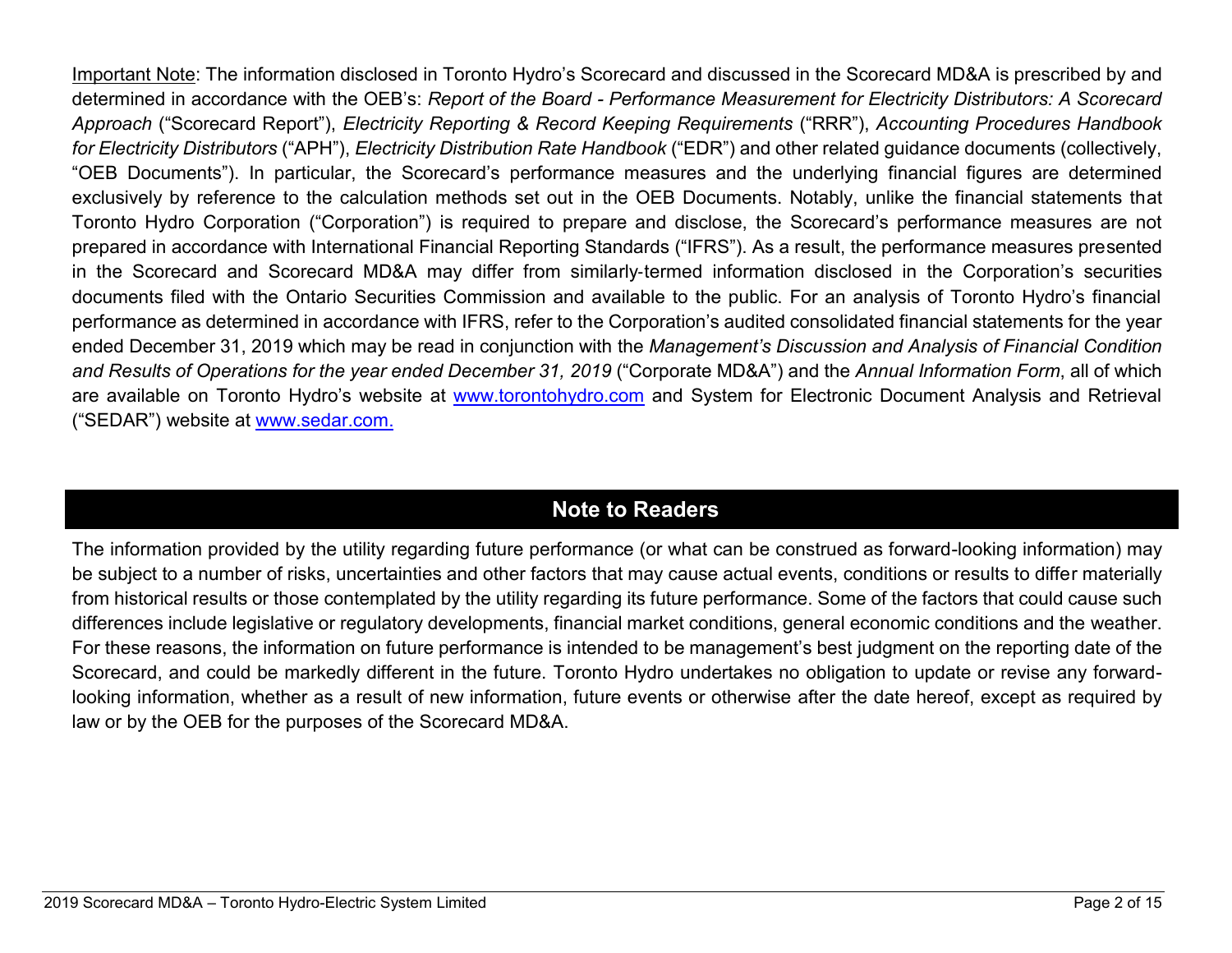Important Note: The information disclosed in Toronto Hydro's Scorecard and discussed in the Scorecard MD&A is prescribed by and determined in accordance with the OEB's: *Report of the Board - Performance Measurement for Electricity Distributors: A Scorecard Approach* ("Scorecard Report"), *Electricity Reporting & Record Keeping Requirements* ("RRR"), *Accounting Procedures Handbook for Electricity Distributors* ("APH"), *Electricity Distribution Rate Handbook* ("EDR") and other related guidance documents (collectively, "OEB Documents"). In particular, the Scorecard's performance measures and the underlying financial figures are determined exclusively by reference to the calculation methods set out in the OEB Documents. Notably, unlike the financial statements that Toronto Hydro Corporation ("Corporation") is required to prepare and disclose, the Scorecard's performance measures are not prepared in accordance with International Financial Reporting Standards ("IFRS"). As a result, the performance measures presented in the Scorecard and Scorecard MD&A may differ from similarly‐termed information disclosed in the Corporation's securities documents filed with the Ontario Securities Commission and available to the public. For an analysis of Toronto Hydro's financial performance as determined in accordance with IFRS, refer to the Corporation's audited consolidated financial statements for the year ended December 31, 2019 which may be read in conjunction with the *Management's Discussion and Analysis of Financial Condition and Results of Operations for the year ended December 31, 2019* ("Corporate MD&A") and the *Annual Information Form*, all of which are available on Toronto Hydro's website at [www.torontohydro.com](http://www.torontohydro.com/sites/corporate/InvestorRelations/FinancialReports/Pages/FinancialReports.aspx) and System for Electronic Document Analysis and Retrieval ("SEDAR") website at [www.sedar.com.](https://www.sedar.com/DisplayCompanyDocuments.do?lang=EN&issuerNo=00019159)

# **Note to Readers**

The information provided by the utility regarding future performance (or what can be construed as forward-looking information) may be subject to a number of risks, uncertainties and other factors that may cause actual events, conditions or results to differ materially from historical results or those contemplated by the utility regarding its future performance. Some of the factors that could cause such differences include legislative or regulatory developments, financial market conditions, general economic conditions and the weather. For these reasons, the information on future performance is intended to be management's best judgment on the reporting date of the Scorecard, and could be markedly different in the future. Toronto Hydro undertakes no obligation to update or revise any forwardlooking information, whether as a result of new information, future events or otherwise after the date hereof, except as required by law or by the OEB for the purposes of the Scorecard MD&A.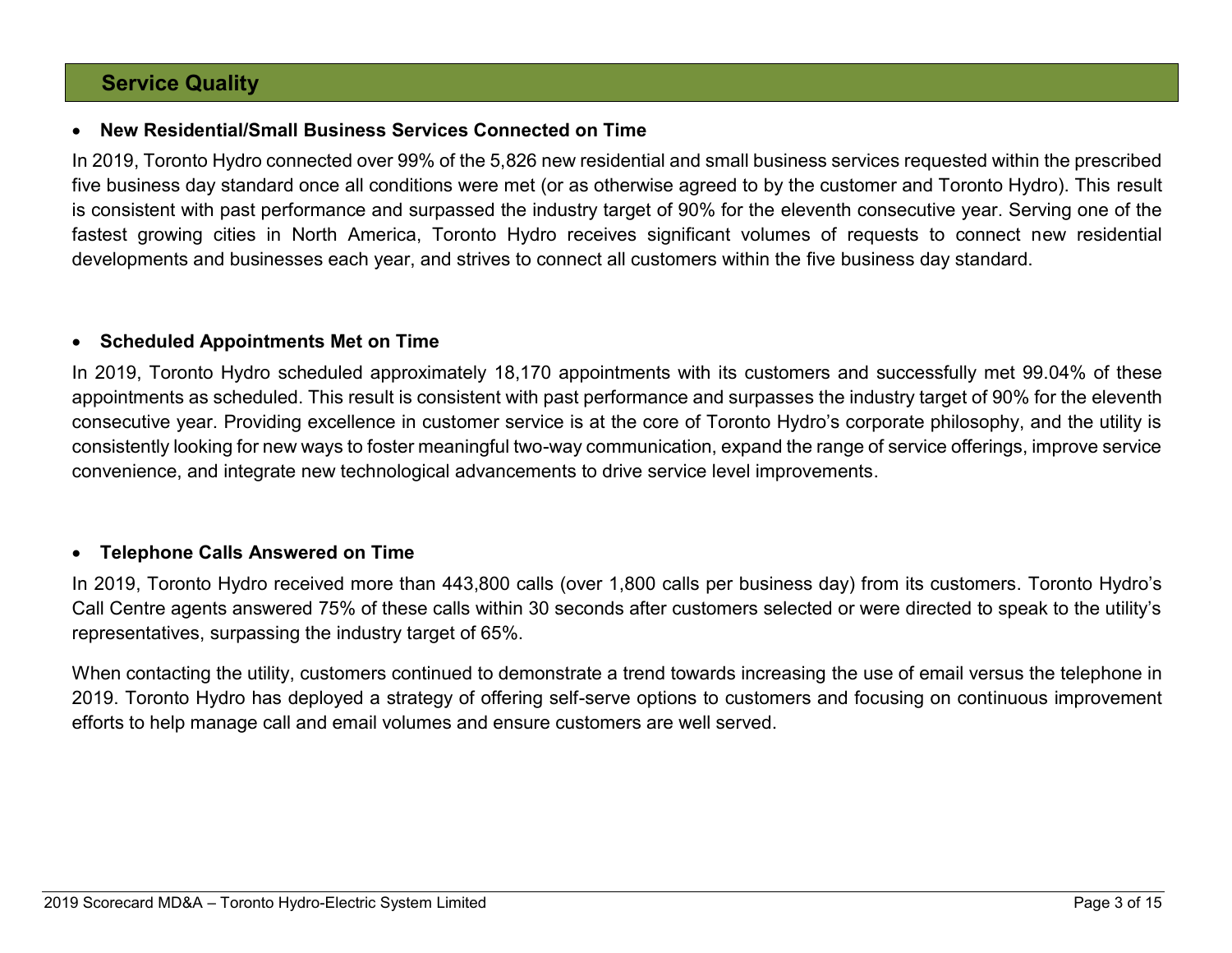### **Service Quality**

#### • **New Residential/Small Business Services Connected on Time**

In 2019, Toronto Hydro connected over 99% of the 5,826 new residential and small business services requested within the prescribed five business day standard once all conditions were met (or as otherwise agreed to by the customer and Toronto Hydro). This result is consistent with past performance and surpassed the industry target of 90% for the eleventh consecutive year. Serving one of the fastest growing cities in North America, Toronto Hydro receives significant volumes of requests to connect new residential developments and businesses each year, and strives to connect all customers within the five business day standard.

#### • **Scheduled Appointments Met on Time**

In 2019, Toronto Hydro scheduled approximately 18,170 appointments with its customers and successfully met 99.04% of these appointments as scheduled. This result is consistent with past performance and surpasses the industry target of 90% for the eleventh consecutive year. Providing excellence in customer service is at the core of Toronto Hydro's corporate philosophy, and the utility is consistently looking for new ways to foster meaningful two-way communication, expand the range of service offerings, improve service convenience, and integrate new technological advancements to drive service level improvements.

### • **Telephone Calls Answered on Time**

In 2019, Toronto Hydro received more than 443,800 calls (over 1,800 calls per business day) from its customers. Toronto Hydro's Call Centre agents answered 75% of these calls within 30 seconds after customers selected or were directed to speak to the utility's representatives, surpassing the industry target of 65%.

When contacting the utility, customers continued to demonstrate a trend towards increasing the use of email versus the telephone in 2019. Toronto Hydro has deployed a strategy of offering self-serve options to customers and focusing on continuous improvement efforts to help manage call and email volumes and ensure customers are well served.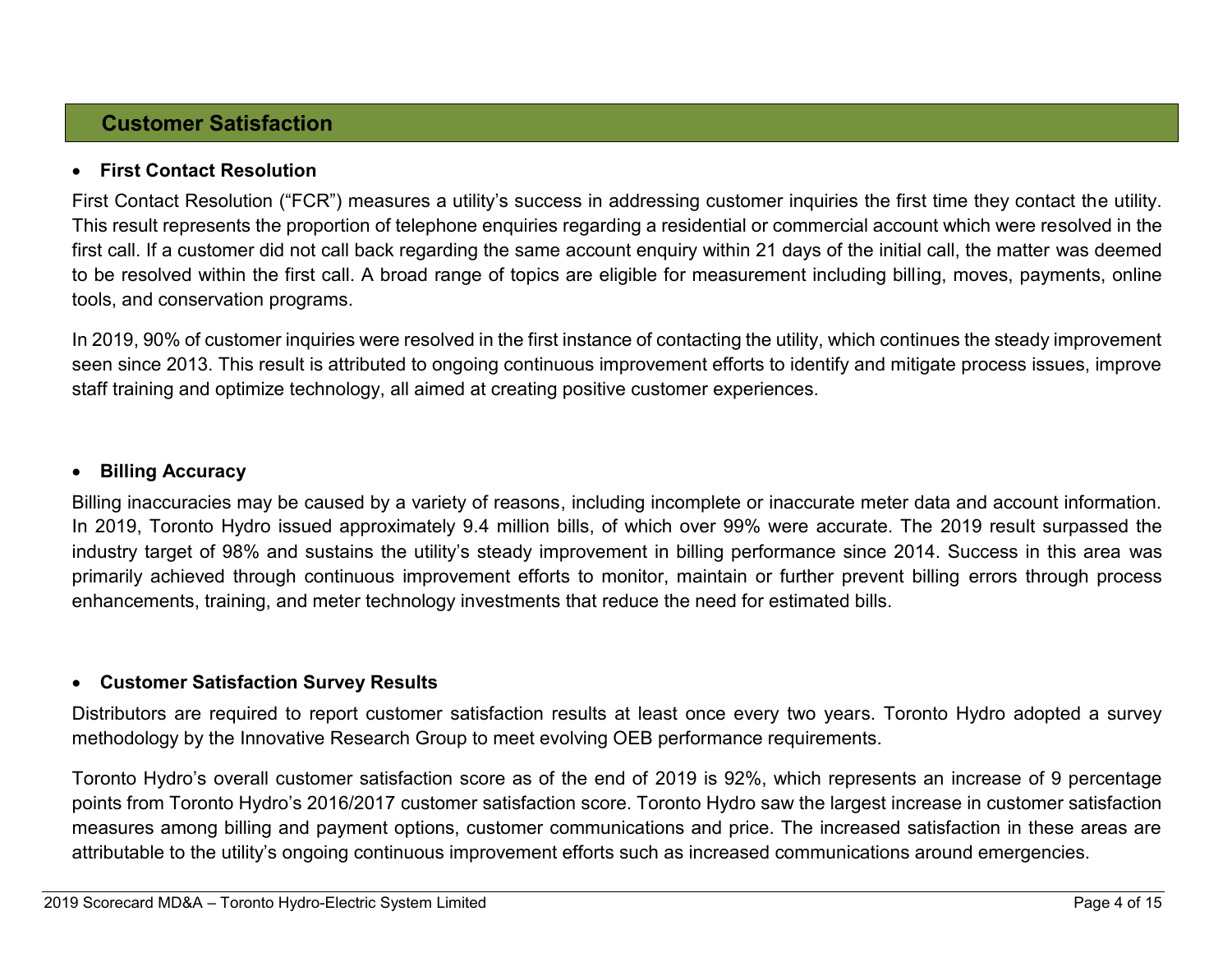# **Customer Satisfaction**

#### • **First Contact Resolution**

First Contact Resolution ("FCR") measures a utility's success in addressing customer inquiries the first time they contact the utility. This result represents the proportion of telephone enquiries regarding a residential or commercial account which were resolved in the first call. If a customer did not call back regarding the same account enquiry within 21 days of the initial call, the matter was deemed to be resolved within the first call. A broad range of topics are eligible for measurement including billing, moves, payments, online tools, and conservation programs.

In 2019, 90% of customer inquiries were resolved in the first instance of contacting the utility, which continues the steady improvement seen since 2013. This result is attributed to ongoing continuous improvement efforts to identify and mitigate process issues, improve staff training and optimize technology, all aimed at creating positive customer experiences.

#### • **Billing Accuracy**

Billing inaccuracies may be caused by a variety of reasons, including incomplete or inaccurate meter data and account information. In 2019, Toronto Hydro issued approximately 9.4 million bills, of which over 99% were accurate. The 2019 result surpassed the industry target of 98% and sustains the utility's steady improvement in billing performance since 2014. Success in this area was primarily achieved through continuous improvement efforts to monitor, maintain or further prevent billing errors through process enhancements, training, and meter technology investments that reduce the need for estimated bills.

#### • **Customer Satisfaction Survey Results**

Distributors are required to report customer satisfaction results at least once every two years. Toronto Hydro adopted a survey methodology by the Innovative Research Group to meet evolving OEB performance requirements.

Toronto Hydro's overall customer satisfaction score as of the end of 2019 is 92%, which represents an increase of 9 percentage points from Toronto Hydro's 2016/2017 customer satisfaction score. Toronto Hydro saw the largest increase in customer satisfaction measures among billing and payment options, customer communications and price. The increased satisfaction in these areas are attributable to the utility's ongoing continuous improvement efforts such as increased communications around emergencies.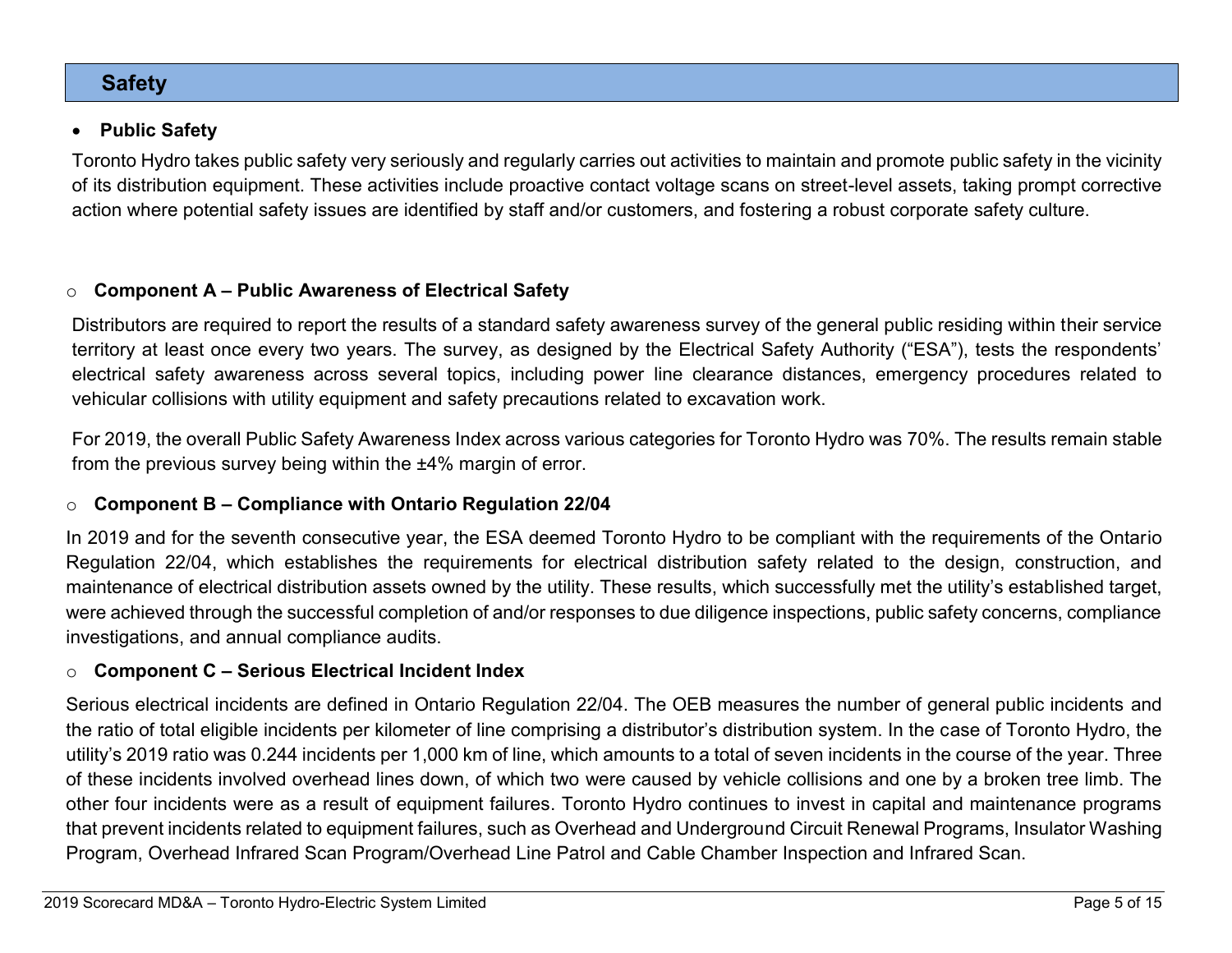### **Safety**

#### • **Public Safety**

Toronto Hydro takes public safety very seriously and regularly carries out activities to maintain and promote public safety in the vicinity of its distribution equipment. These activities include proactive contact voltage scans on street-level assets, taking prompt corrective action where potential safety issues are identified by staff and/or customers, and fostering a robust corporate safety culture.

### o **Component A – Public Awareness of Electrical Safety**

Distributors are required to report the results of a standard safety awareness survey of the general public residing within their service territory at least once every two years. The survey, as designed by the Electrical Safety Authority ("ESA"), tests the respondents' electrical safety awareness across several topics, including power line clearance distances, emergency procedures related to vehicular collisions with utility equipment and safety precautions related to excavation work.

For 2019, the overall Public Safety Awareness Index across various categories for Toronto Hydro was 70%. The results remain stable from the previous survey being within the ±4% margin of error.

### o **Component B – Compliance with Ontario Regulation 22/04**

In 2019 and for the seventh consecutive year, the ESA deemed Toronto Hydro to be compliant with the requirements of the Ontario Regulation 22/04, which establishes the requirements for electrical distribution safety related to the design, construction, and maintenance of electrical distribution assets owned by the utility. These results, which successfully met the utility's established target, were achieved through the successful completion of and/or responses to due diligence inspections, public safety concerns, compliance investigations, and annual compliance audits.

### o **Component C – Serious Electrical Incident Index**

Serious electrical incidents are defined in Ontario Regulation 22/04. The OEB measures the number of general public incidents and the ratio of total eligible incidents per kilometer of line comprising a distributor's distribution system. In the case of Toronto Hydro, the utility's 2019 ratio was 0.244 incidents per 1,000 km of line, which amounts to a total of seven incidents in the course of the year. Three of these incidents involved overhead lines down, of which two were caused by vehicle collisions and one by a broken tree limb. The other four incidents were as a result of equipment failures. Toronto Hydro continues to invest in capital and maintenance programs that prevent incidents related to equipment failures, such as Overhead and Underground Circuit Renewal Programs, Insulator Washing Program, Overhead Infrared Scan Program/Overhead Line Patrol and Cable Chamber Inspection and Infrared Scan.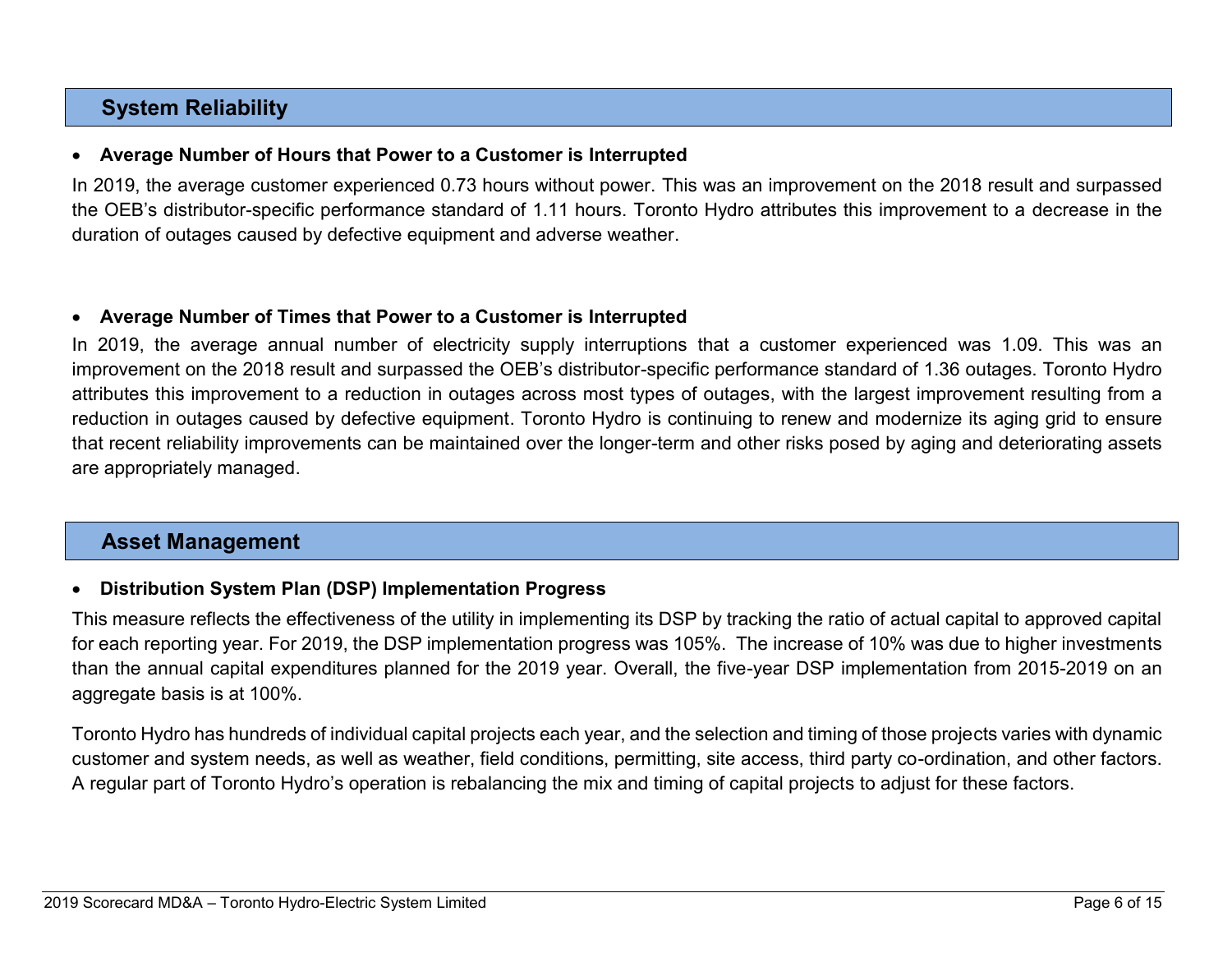# **System Reliability**

#### • **Average Number of Hours that Power to a Customer is Interrupted**

In 2019, the average customer experienced 0.73 hours without power. This was an improvement on the 2018 result and surpassed the OEB's distributor-specific performance standard of 1.11 hours. Toronto Hydro attributes this improvement to a decrease in the duration of outages caused by defective equipment and adverse weather.

#### • **Average Number of Times that Power to a Customer is Interrupted**

In 2019, the average annual number of electricity supply interruptions that a customer experienced was 1.09. This was an improvement on the 2018 result and surpassed the OEB's distributor-specific performance standard of 1.36 outages. Toronto Hydro attributes this improvement to a reduction in outages across most types of outages, with the largest improvement resulting from a reduction in outages caused by defective equipment. Toronto Hydro is continuing to renew and modernize its aging grid to ensure that recent reliability improvements can be maintained over the longer-term and other risks posed by aging and deteriorating assets are appropriately managed.

# **Asset Management**

### • **Distribution System Plan (DSP) Implementation Progress**

This measure reflects the effectiveness of the utility in implementing its DSP by tracking the ratio of actual capital to approved capital for each reporting year. For 2019, the DSP implementation progress was 105%. The increase of 10% was due to higher investments than the annual capital expenditures planned for the 2019 year. Overall, the five-year DSP implementation from 2015-2019 on an aggregate basis is at 100%.

Toronto Hydro has hundreds of individual capital projects each year, and the selection and timing of those projects varies with dynamic customer and system needs, as well as weather, field conditions, permitting, site access, third party co-ordination, and other factors. A regular part of Toronto Hydro's operation is rebalancing the mix and timing of capital projects to adjust for these factors.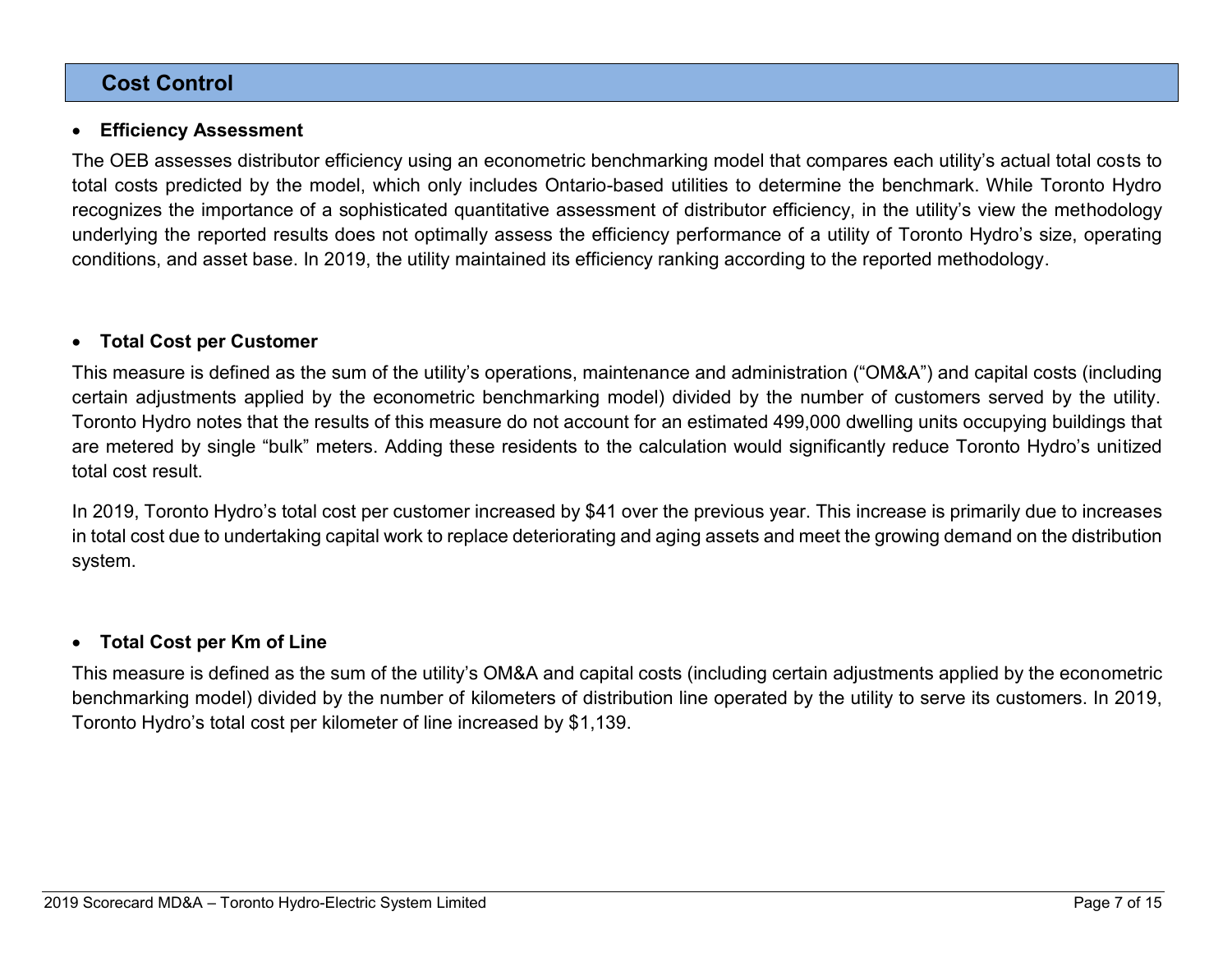### **Cost Control**

#### • **Efficiency Assessment**

The OEB assesses distributor efficiency using an econometric benchmarking model that compares each utility's actual total costs to total costs predicted by the model, which only includes Ontario-based utilities to determine the benchmark. While Toronto Hydro recognizes the importance of a sophisticated quantitative assessment of distributor efficiency, in the utility's view the methodology underlying the reported results does not optimally assess the efficiency performance of a utility of Toronto Hydro's size, operating conditions, and asset base. In 2019, the utility maintained its efficiency ranking according to the reported methodology.

#### • **Total Cost per Customer**

This measure is defined as the sum of the utility's operations, maintenance and administration ("OM&A") and capital costs (including certain adjustments applied by the econometric benchmarking model) divided by the number of customers served by the utility. Toronto Hydro notes that the results of this measure do not account for an estimated 499,000 dwelling units occupying buildings that are metered by single "bulk" meters. Adding these residents to the calculation would significantly reduce Toronto Hydro's unitized total cost result.

In 2019, Toronto Hydro's total cost per customer increased by \$41 over the previous year. This increase is primarily due to increases in total cost due to undertaking capital work to replace deteriorating and aging assets and meet the growing demand on the distribution system.

### • **Total Cost per Km of Line**

This measure is defined as the sum of the utility's OM&A and capital costs (including certain adjustments applied by the econometric benchmarking model) divided by the number of kilometers of distribution line operated by the utility to serve its customers. In 2019, Toronto Hydro's total cost per kilometer of line increased by \$1,139.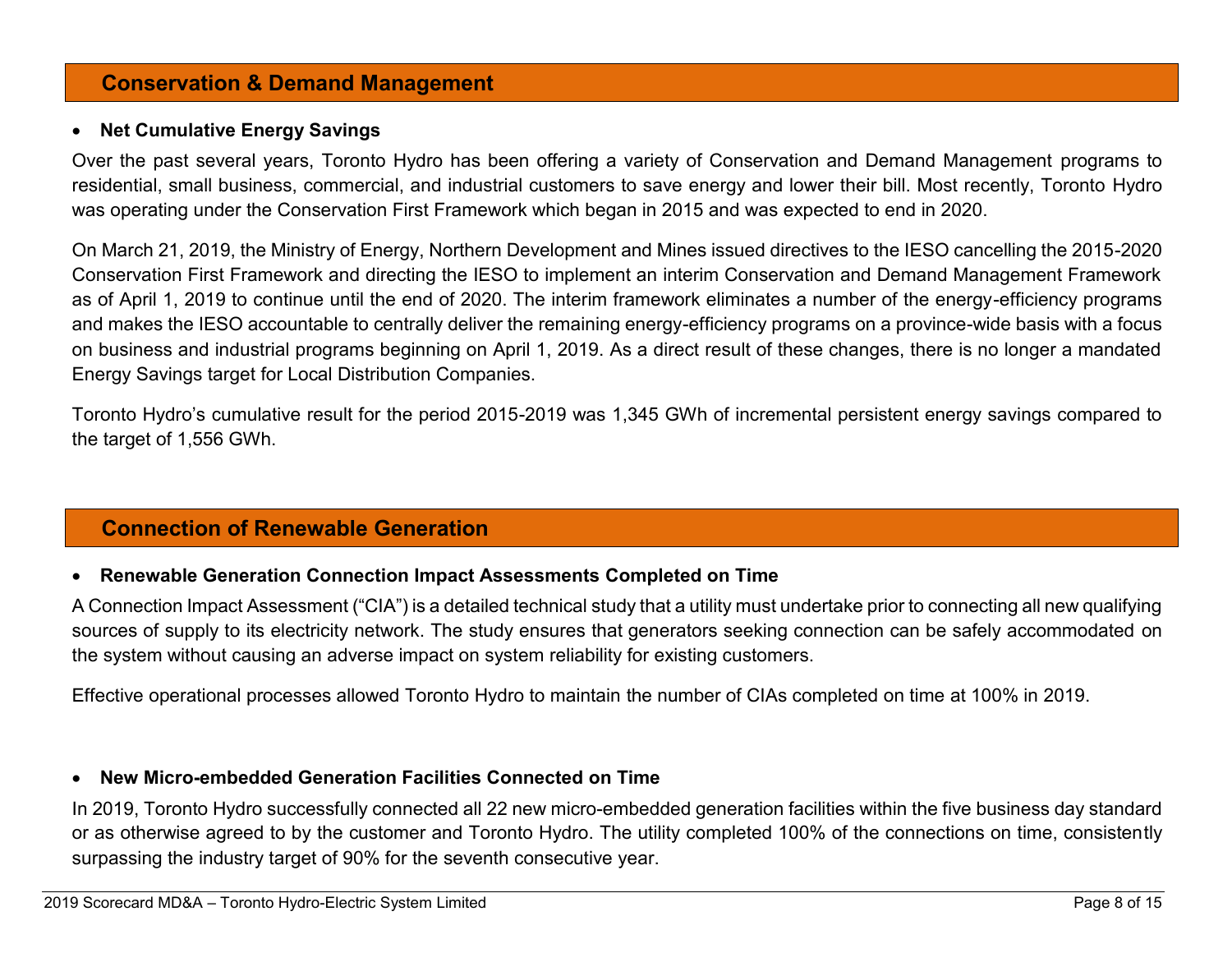### **Conservation & Demand Management**

#### • **Net Cumulative Energy Savings**

Over the past several years, Toronto Hydro has been offering a variety of Conservation and Demand Management programs to residential, small business, commercial, and industrial customers to save energy and lower their bill. Most recently, Toronto Hydro was operating under the Conservation First Framework which began in 2015 and was expected to end in 2020.

On March 21, 2019, the Ministry of Energy, Northern Development and Mines issued directives to the IESO cancelling the 2015-2020 Conservation First Framework and directing the IESO to implement an interim Conservation and Demand Management Framework as of April 1, 2019 to continue until the end of 2020. The interim framework eliminates a number of the energy-efficiency programs and makes the IESO accountable to centrally deliver the remaining energy-efficiency programs on a province-wide basis with a focus on business and industrial programs beginning on April 1, 2019. As a direct result of these changes, there is no longer a mandated Energy Savings target for Local Distribution Companies.

Toronto Hydro's cumulative result for the period 2015-2019 was 1,345 GWh of incremental persistent energy savings compared to the target of 1,556 GWh.

# **Connection of Renewable Generation**

### • **Renewable Generation Connection Impact Assessments Completed on Time**

A Connection Impact Assessment ("CIA") is a detailed technical study that a utility must undertake prior to connecting all new qualifying sources of supply to its electricity network. The study ensures that generators seeking connection can be safely accommodated on the system without causing an adverse impact on system reliability for existing customers.

Effective operational processes allowed Toronto Hydro to maintain the number of CIAs completed on time at 100% in 2019.

### • **New Micro-embedded Generation Facilities Connected on Time**

In 2019, Toronto Hydro successfully connected all 22 new micro-embedded generation facilities within the five business day standard or as otherwise agreed to by the customer and Toronto Hydro. The utility completed 100% of the connections on time, consistently surpassing the industry target of 90% for the seventh consecutive year.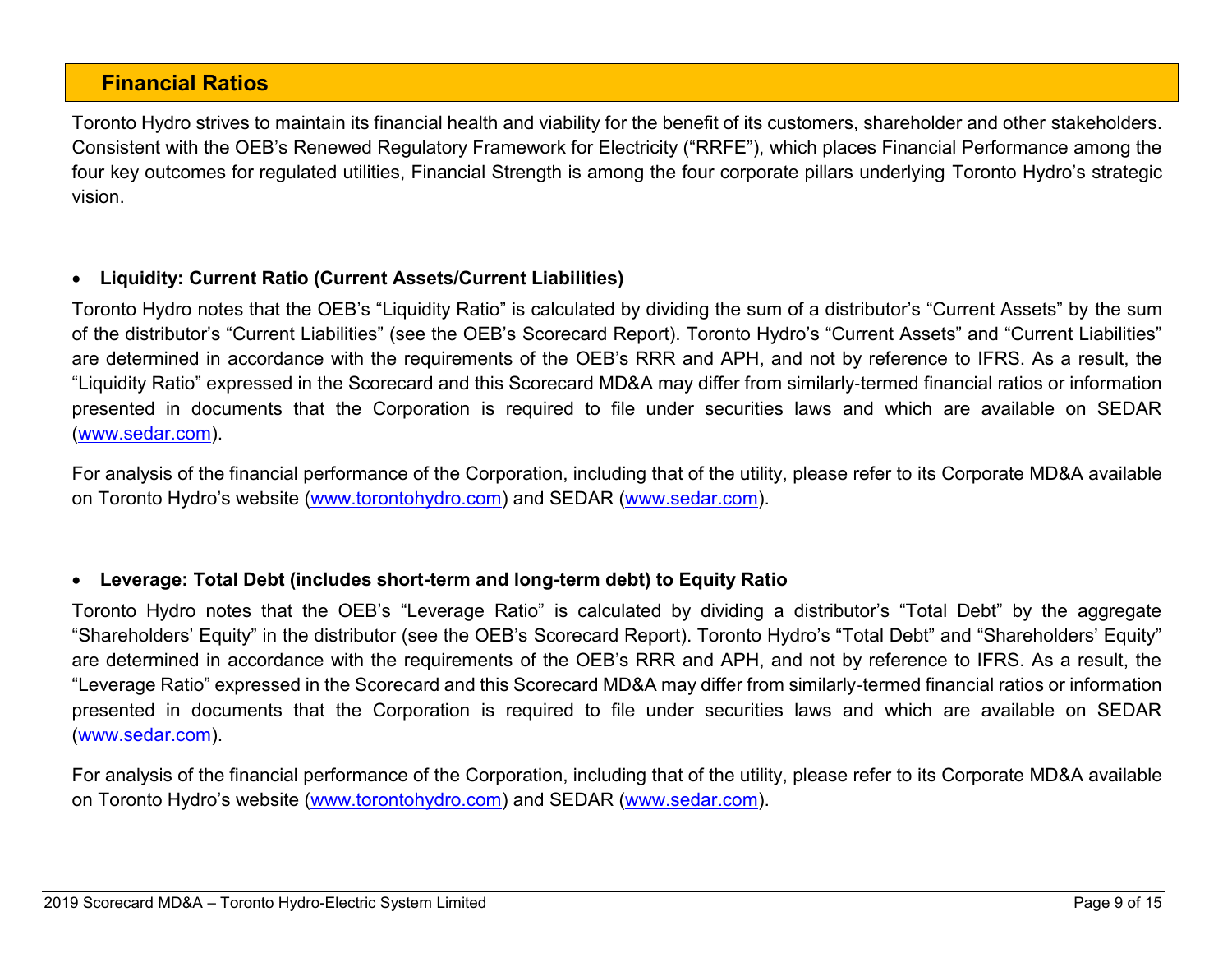### **Financial Ratios**

Toronto Hydro strives to maintain its financial health and viability for the benefit of its customers, shareholder and other stakeholders. Consistent with the OEB's Renewed Regulatory Framework for Electricity ("RRFE"), which places Financial Performance among the four key outcomes for regulated utilities, Financial Strength is among the four corporate pillars underlying Toronto Hydro's strategic vision.

### • **Liquidity: Current Ratio (Current Assets/Current Liabilities)**

Toronto Hydro notes that the OEB's "Liquidity Ratio" is calculated by dividing the sum of a distributor's "Current Assets" by the sum of the distributor's "Current Liabilities" (see the OEB's Scorecard Report). Toronto Hydro's "Current Assets" and "Current Liabilities" are determined in accordance with the requirements of the OEB's RRR and APH, and not by reference to IFRS. As a result, the "Liquidity Ratio" expressed in the Scorecard and this Scorecard MD&A may differ from similarly‐termed financial ratios or information presented in documents that the Corporation is required to file under securities laws and which are available on SEDAR [\(www.sedar.com\)](https://www.sedar.com/DisplayCompanyDocuments.do?lang=EN&issuerNo=00019159).

For analysis of the financial performance of the Corporation, including that of the utility, please refer to its Corporate MD&A available on Toronto Hydro's website ([www.torontohydro.com\)](http://www.torontohydro.com/sites/corporate/InvestorRelations/FinancialReports/Pages/FinancialReports.aspx) and SEDAR [\(www.sedar.com\)](https://www.sedar.com/DisplayCompanyDocuments.do?lang=EN&issuerNo=00019159).

### • **Leverage: Total Debt (includes short-term and long-term debt) to Equity Ratio**

Toronto Hydro notes that the OEB's "Leverage Ratio" is calculated by dividing a distributor's "Total Debt" by the aggregate "Shareholders' Equity" in the distributor (see the OEB's Scorecard Report). Toronto Hydro's "Total Debt" and "Shareholders' Equity" are determined in accordance with the requirements of the OEB's RRR and APH, and not by reference to IFRS. As a result, the "Leverage Ratio" expressed in the Scorecard and this Scorecard MD&A may differ from similarly‐termed financial ratios or information presented in documents that the Corporation is required to file under securities laws and which are available on SEDAR [\(www.sedar.com\)](https://www.sedar.com/DisplayCompanyDocuments.do?lang=EN&issuerNo=00019159).

For analysis of the financial performance of the Corporation, including that of the utility, please refer to its Corporate MD&A available on Toronto Hydro's website ([www.torontohydro.com\)](http://www.torontohydro.com/sites/corporate/InvestorRelations/FinancialReports/Pages/FinancialReports.aspx) and SEDAR [\(www.sedar.com\)](https://www.sedar.com/DisplayCompanyDocuments.do?lang=EN&issuerNo=00019159).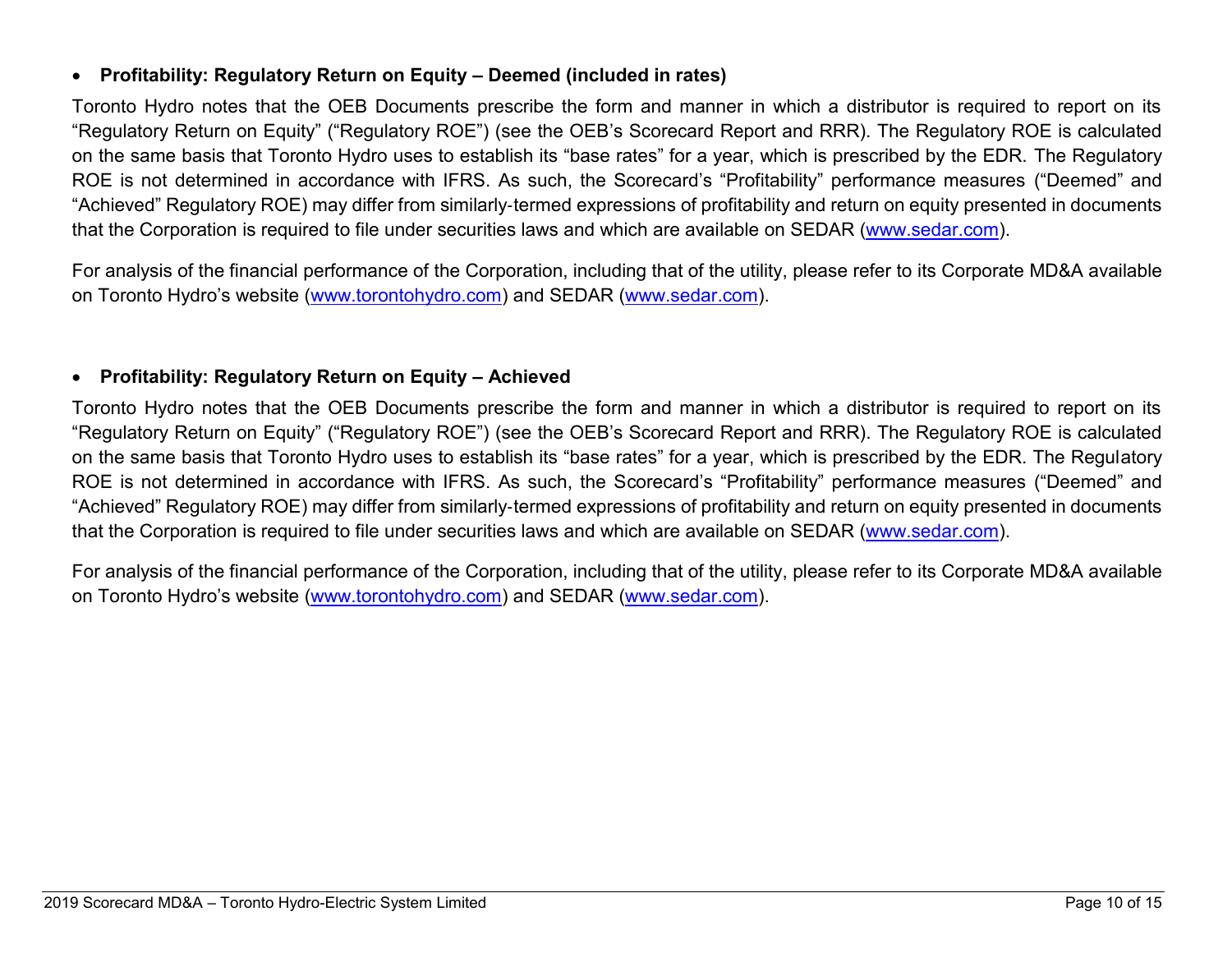### • **Profitability: Regulatory Return on Equity – Deemed (included in rates)**

Toronto Hydro notes that the OEB Documents prescribe the form and manner in which a distributor is required to report on its "Regulatory Return on Equity" ("Regulatory ROE") (see the OEB's Scorecard Report and RRR). The Regulatory ROE is calculated on the same basis that Toronto Hydro uses to establish its "base rates" for a year, which is prescribed by the EDR. The Regulatory ROE is not determined in accordance with IFRS. As such, the Scorecard's "Profitability" performance measures ("Deemed" and "Achieved" Regulatory ROE) may differ from similarly‐termed expressions of profitability and return on equity presented in documents that the Corporation is required to file under securities laws and which are available on SEDAR [\(www.sedar.com\)](https://www.sedar.com/DisplayCompanyDocuments.do?lang=EN&issuerNo=00019159).

For analysis of the financial performance of the Corporation, including that of the utility, please refer to its Corporate MD&A available on Toronto Hydro's website ([www.torontohydro.com\)](http://www.torontohydro.com/sites/corporate/InvestorRelations/FinancialReports/Pages/FinancialReports.aspx) and SEDAR [\(www.sedar.com\)](https://www.sedar.com/DisplayCompanyDocuments.do?lang=EN&issuerNo=00019159).

### • **Profitability: Regulatory Return on Equity – Achieved**

Toronto Hydro notes that the OEB Documents prescribe the form and manner in which a distributor is required to report on its "Regulatory Return on Equity" ("Regulatory ROE") (see the OEB's Scorecard Report and RRR). The Regulatory ROE is calculated on the same basis that Toronto Hydro uses to establish its "base rates" for a year, which is prescribed by the EDR. The Regulatory ROE is not determined in accordance with IFRS. As such, the Scorecard's "Profitability" performance measures ("Deemed" and "Achieved" Regulatory ROE) may differ from similarly‐termed expressions of profitability and return on equity presented in documents that the Corporation is required to file under securities laws and which are available on SEDAR [\(www.sedar.com\)](https://www.sedar.com/DisplayCompanyDocuments.do?lang=EN&issuerNo=00019159).

For analysis of the financial performance of the Corporation, including that of the utility, please refer to its Corporate MD&A available on Toronto Hydro's website [\(www.torontohydro.com\)](http://www.torontohydro.com/sites/corporate/InvestorRelations/FinancialReports/Pages/FinancialReports.aspx) and SEDAR [\(www.sedar.com\)](https://www.sedar.com/DisplayCompanyDocuments.do?lang=EN&issuerNo=00019159).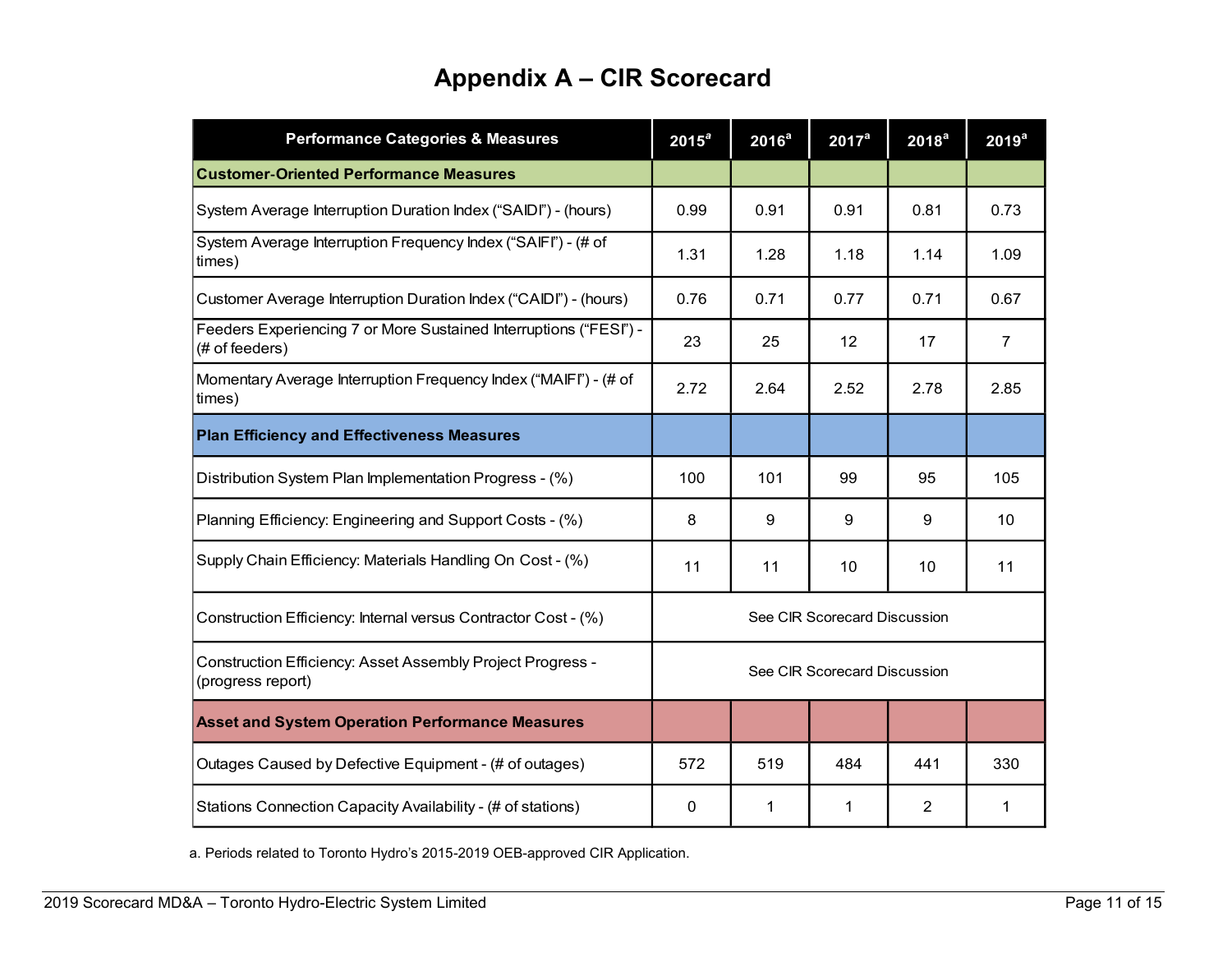# **Appendix A – CIR Scorecard**

| <b>Performance Categories &amp; Measures</b>                                        | $2015^a$                     | 2016 <sup>a</sup> | $2017^a$ | 2018 <sup>a</sup> | 2019 <sup>a</sup> |  |  |  |
|-------------------------------------------------------------------------------------|------------------------------|-------------------|----------|-------------------|-------------------|--|--|--|
| <b>Customer-Oriented Performance Measures</b>                                       |                              |                   |          |                   |                   |  |  |  |
| System Average Interruption Duration Index ("SAIDI") - (hours)                      | 0.99                         | 0.91              | 0.91     | 0.81              | 0.73              |  |  |  |
| System Average Interruption Frequency Index ("SAIFI") - (# of<br>times)             | 1.31                         | 1.28              | 1.18     | 1.14              | 1.09              |  |  |  |
| Customer Average Interruption Duration Index ("CAIDI") - (hours)                    | 0.76                         | 0.71              | 0.77     | 0.71              | 0.67              |  |  |  |
| Feeders Experiencing 7 or More Sustained Interruptions ("FESI") -<br>(# of feeders) | 23                           | 25                | 12       | 17                | $\overline{7}$    |  |  |  |
| Momentary Average Interruption Frequency Index ("MAIFI") - (# of<br>times)          | 2.72                         | 2.64              | 2.52     | 2.78              | 2.85              |  |  |  |
| <b>Plan Efficiency and Effectiveness Measures</b>                                   |                              |                   |          |                   |                   |  |  |  |
| Distribution System Plan Implementation Progress - (%)                              | 100                          | 101               | 99       | 95                | 105               |  |  |  |
| Planning Efficiency: Engineering and Support Costs - (%)                            | 8                            | 9                 | 9        | 9                 | 10                |  |  |  |
| Supply Chain Efficiency: Materials Handling On Cost - (%)                           |                              | 11                | 10       | 10                | 11                |  |  |  |
| Construction Efficiency: Internal versus Contractor Cost - (%)                      | See CIR Scorecard Discussion |                   |          |                   |                   |  |  |  |
| Construction Efficiency: Asset Assembly Project Progress -<br>(progress report)     | See CIR Scorecard Discussion |                   |          |                   |                   |  |  |  |
| <b>Asset and System Operation Performance Measures</b>                              |                              |                   |          |                   |                   |  |  |  |
| Outages Caused by Defective Equipment - (# of outages)                              | 572                          | 519               | 484      | 441               | 330               |  |  |  |
| Stations Connection Capacity Availability - (# of stations)                         | $\mathbf{0}$                 | 1                 | 1        | 2                 | 1                 |  |  |  |

a. Periods related to Toronto Hydro's 2015-2019 OEB-approved CIR Application.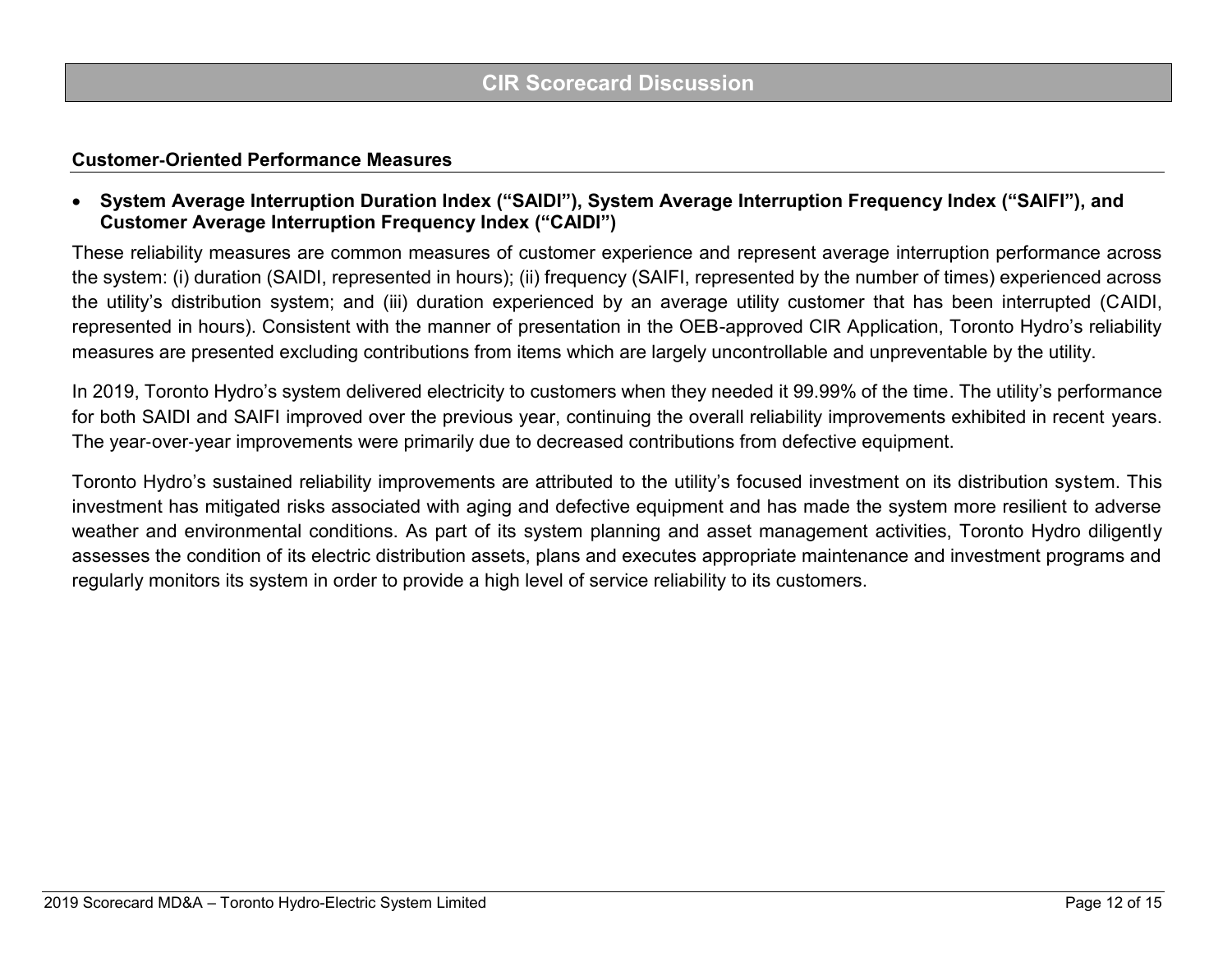#### **Customer**‐**Oriented Performance Measures**

• **System Average Interruption Duration Index ("SAIDI"), System Average Interruption Frequency Index ("SAIFI"), and Customer Average Interruption Frequency Index ("CAIDI")**

These reliability measures are common measures of customer experience and represent average interruption performance across the system: (i) duration (SAIDI, represented in hours); (ii) frequency (SAIFI, represented by the number of times) experienced across the utility's distribution system; and (iii) duration experienced by an average utility customer that has been interrupted (CAIDI, represented in hours). Consistent with the manner of presentation in the OEB-approved CIR Application, Toronto Hydro's reliability measures are presented excluding contributions from items which are largely uncontrollable and unpreventable by the utility.

In 2019, Toronto Hydro's system delivered electricity to customers when they needed it 99.99% of the time. The utility's performance for both SAIDI and SAIFI improved over the previous year, continuing the overall reliability improvements exhibited in recent years. The year-over-year improvements were primarily due to decreased contributions from defective equipment.

Toronto Hydro's sustained reliability improvements are attributed to the utility's focused investment on its distribution system. This investment has mitigated risks associated with aging and defective equipment and has made the system more resilient to adverse weather and environmental conditions. As part of its system planning and asset management activities, Toronto Hydro diligently assesses the condition of its electric distribution assets, plans and executes appropriate maintenance and investment programs and regularly monitors its system in order to provide a high level of service reliability to its customers.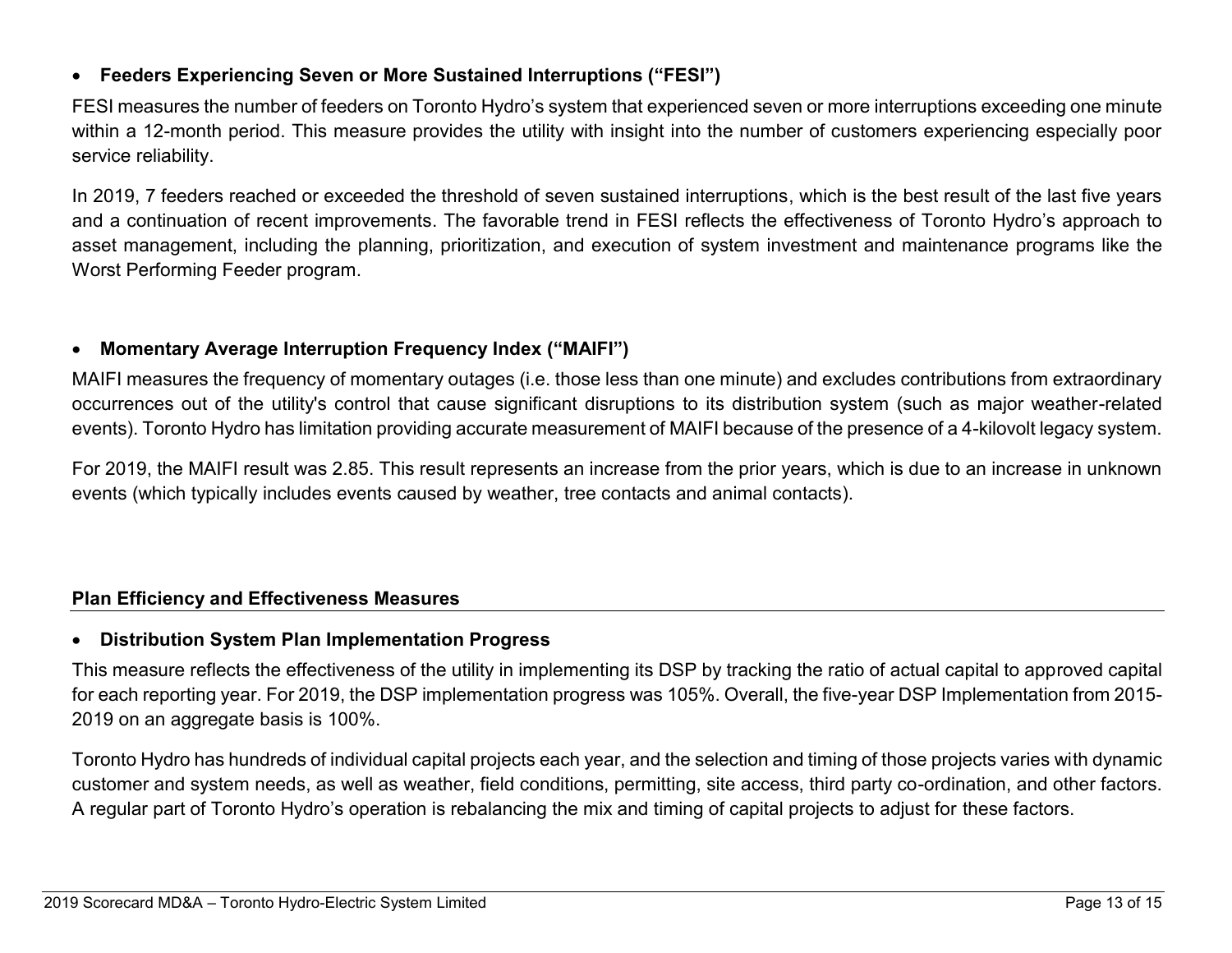### • **Feeders Experiencing Seven or More Sustained Interruptions ("FESI")**

FESI measures the number of feeders on Toronto Hydro's system that experienced seven or more interruptions exceeding one minute within a 12-month period. This measure provides the utility with insight into the number of customers experiencing especially poor service reliability.

In 2019, 7 feeders reached or exceeded the threshold of seven sustained interruptions, which is the best result of the last five years and a continuation of recent improvements. The favorable trend in FESI reflects the effectiveness of Toronto Hydro's approach to asset management, including the planning, prioritization, and execution of system investment and maintenance programs like the Worst Performing Feeder program.

### • **Momentary Average Interruption Frequency Index ("MAIFI")**

MAIFI measures the frequency of momentary outages (i.e. those less than one minute) and excludes contributions from extraordinary occurrences out of the utility's control that cause significant disruptions to its distribution system (such as major weather-related events). Toronto Hydro has limitation providing accurate measurement of MAIFI because of the presence of a 4-kilovolt legacy system.

For 2019, the MAIFI result was 2.85. This result represents an increase from the prior years, which is due to an increase in unknown events (which typically includes events caused by weather, tree contacts and animal contacts).

### **Plan Efficiency and Effectiveness Measures**

### • **Distribution System Plan Implementation Progress**

This measure reflects the effectiveness of the utility in implementing its DSP by tracking the ratio of actual capital to approved capital for each reporting year. For 2019, the DSP implementation progress was 105%. Overall, the five-year DSP Implementation from 2015- 2019 on an aggregate basis is 100%.

Toronto Hydro has hundreds of individual capital projects each year, and the selection and timing of those projects varies with dynamic customer and system needs, as well as weather, field conditions, permitting, site access, third party co-ordination, and other factors. A regular part of Toronto Hydro's operation is rebalancing the mix and timing of capital projects to adjust for these factors.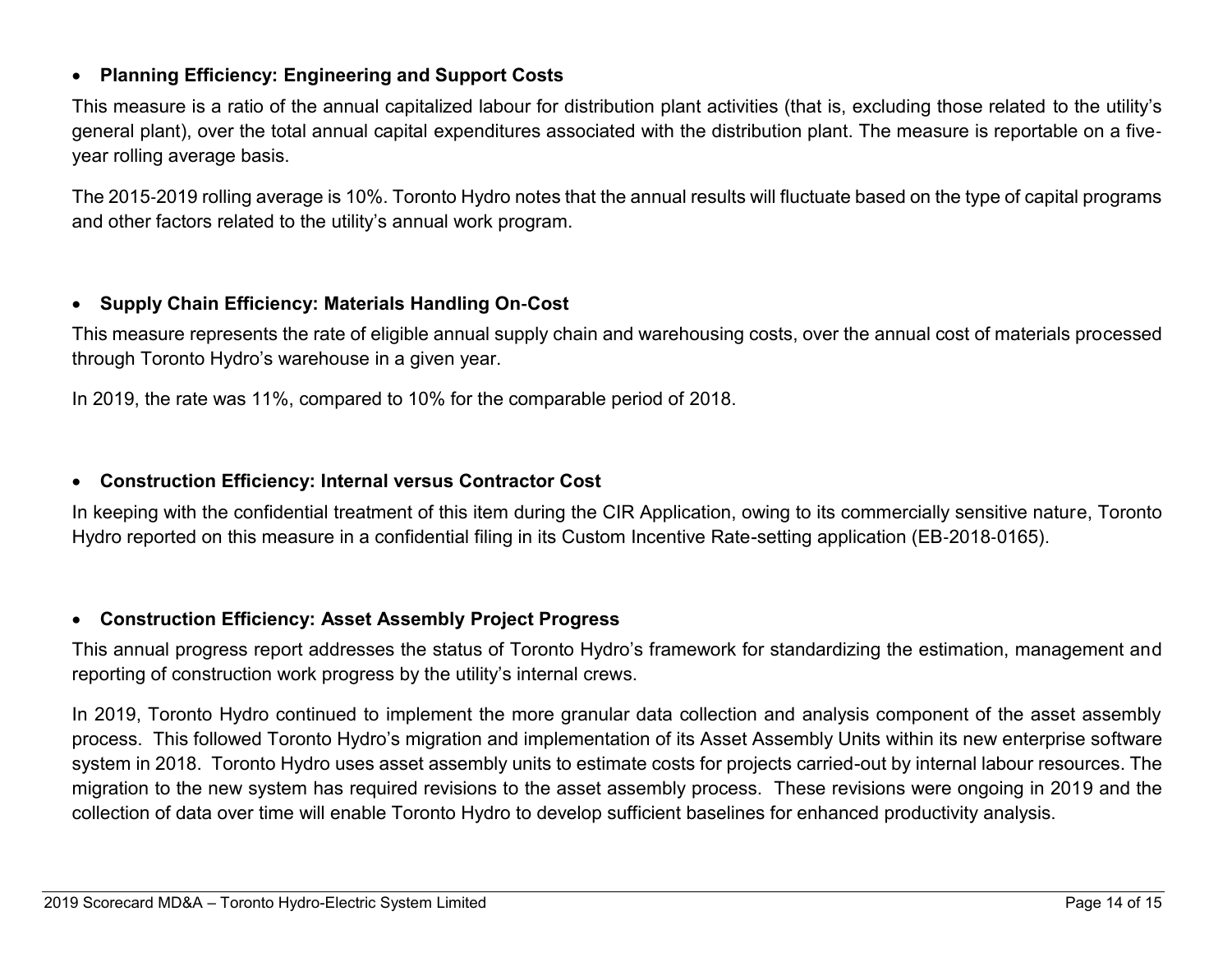### • **Planning Efficiency: Engineering and Support Costs**

This measure is a ratio of the annual capitalized labour for distribution plant activities (that is, excluding those related to the utility's general plant), over the total annual capital expenditures associated with the distribution plant. The measure is reportable on a five‐ year rolling average basis.

The 2015‐2019 rolling average is 10%. Toronto Hydro notes that the annual results will fluctuate based on the type of capital programs and other factors related to the utility's annual work program.

### • **Supply Chain Efficiency: Materials Handling On**‐**Cost**

This measure represents the rate of eligible annual supply chain and warehousing costs, over the annual cost of materials processed through Toronto Hydro's warehouse in a given year.

In 2019, the rate was 11%, compared to 10% for the comparable period of 2018.

### • **Construction Efficiency: Internal versus Contractor Cost**

In keeping with the confidential treatment of this item during the CIR Application, owing to its commercially sensitive nature, Toronto Hydro reported on this measure in a confidential filing in its Custom Incentive Rate-setting application (EB‐2018‐0165).

### • **Construction Efficiency: Asset Assembly Project Progress**

This annual progress report addresses the status of Toronto Hydro's framework for standardizing the estimation, management and reporting of construction work progress by the utility's internal crews.

In 2019, Toronto Hydro continued to implement the more granular data collection and analysis component of the asset assembly process. This followed Toronto Hydro's migration and implementation of its Asset Assembly Units within its new enterprise software system in 2018. Toronto Hydro uses asset assembly units to estimate costs for projects carried-out by internal labour resources. The migration to the new system has required revisions to the asset assembly process. These revisions were ongoing in 2019 and the collection of data over time will enable Toronto Hydro to develop sufficient baselines for enhanced productivity analysis.